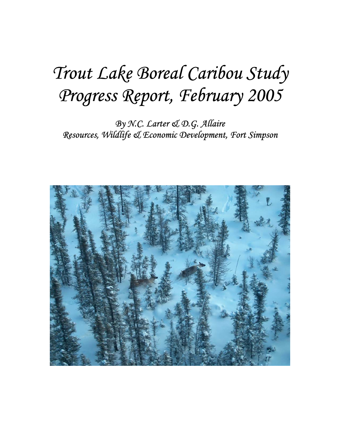# *Trout Lake Boreal Caribou Study Progress Report, February 2005*

*By N.C. Larter & D.G. Allaire Resources, Wildlife & Economic Development, Fort Simpson* 

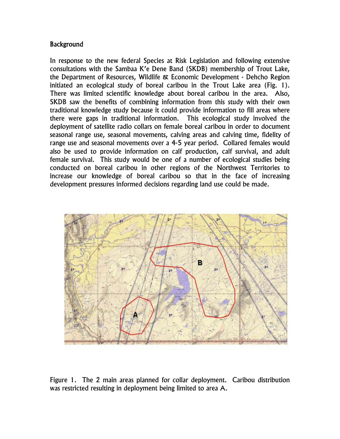#### **Background**

In response to the new federal Species at Risk Legislation and following extensive consultations with the Sambaa K'e Dene Band (SKDB) membership of Trout Lake, the Department of Resources, Wildlife & Economic Development - Dehcho Region initiated an ecological study of boreal caribou in the Trout Lake area (Fig. 1). There was limited scientific knowledge about boreal caribou in the area. Also, SKDB saw the benefits of combining information from this study with their own traditional knowledge study because it could provide information to fill areas where there were gaps in traditional information. This ecological study involved the deployment of satellite radio collars on female boreal caribou in order to document seasonal range use, seasonal movements, calving areas and calving time, fidelity of range use and seasonal movements over a 4-5 year period. Collared females would also be used to provide information on calf production, calf survival, and adult female survival. This study would be one of a number of ecological studies being conducted on boreal caribou in other regions of the Northwest Territories to increase our knowledge of boreal caribou so that in the face of increasing development pressures informed decisions regarding land use could be made.



Figure 1. The 2 main areas planned for collar deployment. Caribou distribution was restricted resulting in deployment being limited to area A.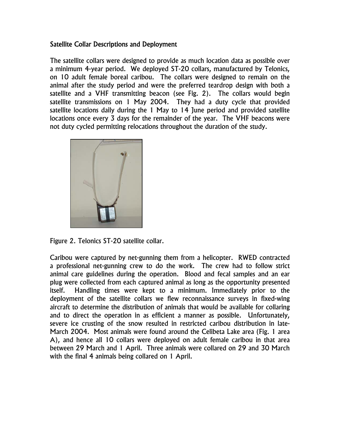#### Satellite Collar Descriptions and Deployment

The satellite collars were designed to provide as much location data as possible over a minimum 4-year period. We deployed ST-20 collars, manufactured by Telonics, on 10 adult female boreal caribou. The collars were designed to remain on the animal after the study period and were the preferred teardrop design with both a satellite and a VHF transmitting beacon (see Fig. 2). The collars would begin satellite transmissions on 1 May 2004. They had a duty cycle that provided satellite locations daily during the 1 May to 14 June period and provided satellite locations once every 3 days for the remainder of the year. The VHF beacons were not duty cycled permitting relocations throughout the duration of the study.



Figure 2. Telonics ST-20 satellite collar.

Caribou were captured by net-gunning them from a helicopter. RWED contracted a professional net-gunning crew to do the work. The crew had to follow strict animal care guidelines during the operation. Blood and fecal samples and an ear plug were collected from each captured animal as long as the opportunity presented itself. Handling times were kept to a minimum. Immediately prior to the deployment of the satellite collars we flew reconnaissance surveys in fixed-wing aircraft to determine the distribution of animals that would be available for collaring and to direct the operation in as efficient a manner as possible. Unfortunately, severe ice crusting of the snow resulted in restricted caribou distribution in late-March 2004. Most animals were found around the Celibeta Lake area (Fig. 1 area A), and hence all 10 collars were deployed on adult female caribou in that area between 29 March and 1 April. Three animals were collared on 29 and 30 March with the final 4 animals being collared on 1 April.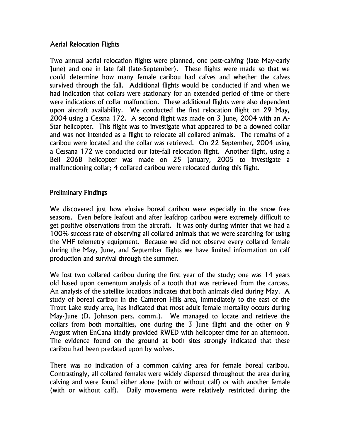### Aerial Relocation Flights

Two annual aerial relocation flights were planned, one post-calving (late May-early June) and one in late fall (late-September). These flights were made so that we could determine how many female caribou had calves and whether the calves survived through the fall. Additional flights would be conducted if and when we had indication that collars were stationary for an extended period of time or there were indications of collar malfunction. These additional flights were also dependent upon aircraft availability. We conducted the first relocation flight on 29 May, 2004 using a Cessna 172. A second flight was made on 3 June, 2004 with an A-Star helicopter. This flight was to investigate what appeared to be a downed collar and was not intended as a flight to relocate all collared animals. The remains of a caribou were located and the collar was retrieved. On 22 September, 2004 using a Cessana 172 we conducted our late-fall relocation flight. Another flight, using a Bell 206B helicopter was made on 25 January, 2005 to investigate a malfunctioning collar; 4 collared caribou were relocated during this flight.

#### Preliminary Findings

We discovered just how elusive boreal caribou were especially in the snow free seasons. Even before leafout and after leafdrop caribou were extremely difficult to get positive observations from the aircraft. It was only during winter that we had a 100% success rate of observing all collared animals that we were searching for using the VHF telemetry equipment. Because we did not observe every collared female during the May, June, and September flights we have limited information on calf production and survival through the summer.

We lost two collared caribou during the first year of the study; one was 14 years old based upon cementum analysis of a tooth that was retrieved from the carcass. An analysis of the satellite locations indicates that both animals died during May. A study of boreal caribou in the Cameron Hills area, immediately to the east of the Trout Lake study area, has indicated that most adult female mortality occurs during May-June (D. Johnson pers. comm.). We managed to locate and retrieve the collars from both mortalities, one during the 3 June flight and the other on 9 August when EnCana kindly provided RWED with helicopter time for an afternoon. The evidence found on the ground at both sites strongly indicated that these caribou had been predated upon by wolves.

There was no indication of a common calving area for female boreal caribou. Contrastingly, all collared females were widely dispersed throughout the area during calving and were found either alone (with or without calf) or with another female (with or without calf). Daily movements were relatively restricted during the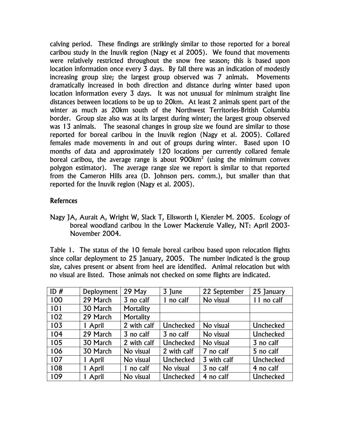calving period. These findings are strikingly similar to those reported for a boreal caribou study in the Inuvik region (Nagy et al 2005). We found that movements were relatively restricted throughout the snow free season; this is based upon location information once every 3 days. By fall there was an indication of modestly increasing group size; the largest group observed was 7 animals. Movements dramatically increased in both direction and distance during winter based upon location information every 3 days. It was not unusual for minimum straight line distances between locations to be up to 20km. At least 2 animals spent part of the winter as much as 20km south of the Northwest Territories-British Columbia border. Group size also was at its largest during winter; the largest group observed was 13 animals. The seasonal changes in group size we found are similar to those reported for boreal caribou in the Inuvik region (Nagy et al. 2005). Collared females made movements in and out of groups during winter. Based upon 10 months of data and approximately 120 locations per currently collared female boreal caribou, the average range is about  $900$ km<sup>2</sup> (using the minimum convex polygon estimator). The average range size we report is similar to that reported from the Cameron Hills area (D. Johnson pers. comm.), but smaller than that reported for the Inuvik region (Nagy et al. 2005).

## Refernces

Nagy JA, Aurait A, Wright W, Slack T, Ellsworth I, Kienzler M. 2005. Ecology of boreal woodland caribou in the Lower Mackenzie Valley, NT: April 2003- November 2004.

Table 1. The status of the 10 female boreal caribou based upon relocation flights since collar deployment to 25 January, 2005. The number indicated is the group size, calves present or absent from heel are identified. Animal relocation but with no visual are listed. Those animals not checked on some flights are indicated.

| ID# | Deployment | 29 May      | 3 June      | 22 September | 25 January |
|-----|------------|-------------|-------------|--------------|------------|
| 100 | 29 March   | 3 no calf   | 1 no calf   | No visual    | 11 no calf |
| 101 | 30 March   | Mortality   |             |              |            |
| 102 | 29 March   | Mortality   |             |              |            |
| 103 | 1 April    | 2 with calf | Unchecked   | No visual    | Unchecked  |
| 104 | 29 March   | 3 no calf   | 3 no calf   | No visual    | Unchecked  |
| 105 | 30 March   | 2 with calf | Unchecked   | No visual    | 3 no calf  |
| 106 | 30 March   | No visual   | 2 with calf | 7 no calf    | 5 no calf  |
| 107 | 1 April    | No visual   | Unchecked   | 3 with calf  | Unchecked  |
| 108 | 1 April    | 1 no calf   | No visual   | 3 no calf    | 4 no calf  |
| 109 | 1 April    | No visual   | Unchecked   | 4 no calf    | Unchecked  |